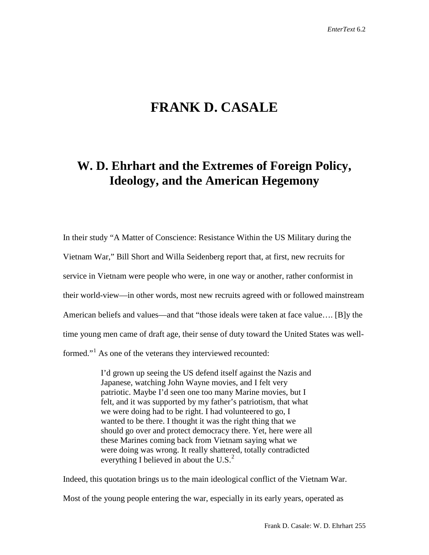## **FRANK D. CASALE**

## **W. D. Ehrhart and the Extremes of Foreign Policy, Ideology, and the American Hegemony**

In their study "A Matter of Conscience: Resistance Within the US Military during the Vietnam War," Bill Short and Willa Seidenberg report that, at first, new recruits for service in Vietnam were people who were, in one way or another, rather conformist in their world-view—in other words, most new recruits agreed with or followed mainstream American beliefs and values—and that "those ideals were taken at face value…. [B]y the time young men came of draft age, their sense of duty toward the United States was well-formed."<sup>[1](#page-10-0)</sup> As one of the veterans they interviewed recounted:

> I'd grown up seeing the US defend itself against the Nazis and Japanese, watching John Wayne movies, and I felt very patriotic. Maybe I'd seen one too many Marine movies, but I felt, and it was supported by my father's patriotism, that what we were doing had to be right. I had volunteered to go, I wanted to be there. I thought it was the right thing that we should go over and protect democracy there. Yet, here were all these Marines coming back from Vietnam saying what we were doing was wrong. It really shattered, totally contradicted everything I believed in about the U.S. $<sup>2</sup>$  $<sup>2</sup>$  $<sup>2</sup>$ </sup>

Indeed, this quotation brings us to the main ideological conflict of the Vietnam War. Most of the young people entering the war, especially in its early years, operated as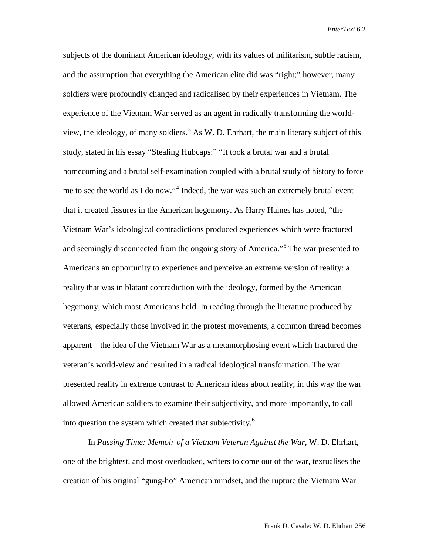subjects of the dominant American ideology, with its values of militarism, subtle racism, and the assumption that everything the American elite did was "right;" however, many soldiers were profoundly changed and radicalised by their experiences in Vietnam. The experience of the Vietnam War served as an agent in radically transforming the world-view, the ideology, of many soldiers.<sup>[3](#page-11-0)</sup> As W. D. Ehrhart, the main literary subject of this study, stated in his essay "Stealing Hubcaps:" "It took a brutal war and a brutal homecoming and a brutal self-examination coupled with a brutal study of history to force me to see the world as I do now."<sup>[4](#page-11-1)</sup> Indeed, the war was such an extremely brutal event that it created fissures in the American hegemony. As Harry Haines has noted, "the Vietnam War's ideological contradictions produced experiences which were fractured and seemingly disconnected from the ongoing story of America."[5](#page-11-2) The war presented to Americans an opportunity to experience and perceive an extreme version of reality: a reality that was in blatant contradiction with the ideology, formed by the American hegemony, which most Americans held. In reading through the literature produced by veterans, especially those involved in the protest movements, a common thread becomes apparent—the idea of the Vietnam War as a metamorphosing event which fractured the veteran's world-view and resulted in a radical ideological transformation. The war presented reality in extreme contrast to American ideas about reality; in this way the war allowed American soldiers to examine their subjectivity, and more importantly, to call into question the system which created that subjectivity. $6$ 

In *Passing Time: Memoir of a Vietnam Veteran Against the War*, W. D. Ehrhart, one of the brightest, and most overlooked, writers to come out of the war, textualises the creation of his original "gung-ho" American mindset, and the rupture the Vietnam War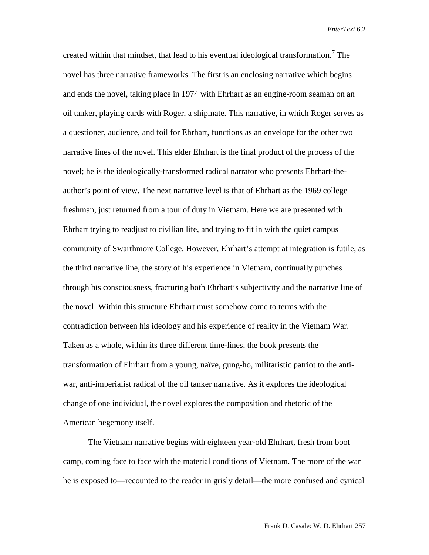created within that mindset, that lead to his eventual ideological transformation.<sup>[7](#page-11-4)</sup> The novel has three narrative frameworks. The first is an enclosing narrative which begins and ends the novel, taking place in 1974 with Ehrhart as an engine-room seaman on an oil tanker, playing cards with Roger, a shipmate. This narrative, in which Roger serves as a questioner, audience, and foil for Ehrhart, functions as an envelope for the other two narrative lines of the novel. This elder Ehrhart is the final product of the process of the novel; he is the ideologically-transformed radical narrator who presents Ehrhart-theauthor's point of view. The next narrative level is that of Ehrhart as the 1969 college freshman, just returned from a tour of duty in Vietnam. Here we are presented with Ehrhart trying to readjust to civilian life, and trying to fit in with the quiet campus community of Swarthmore College. However, Ehrhart's attempt at integration is futile, as the third narrative line, the story of his experience in Vietnam, continually punches through his consciousness, fracturing both Ehrhart's subjectivity and the narrative line of the novel. Within this structure Ehrhart must somehow come to terms with the contradiction between his ideology and his experience of reality in the Vietnam War. Taken as a whole, within its three different time-lines, the book presents the transformation of Ehrhart from a young, naïve, gung-ho, militaristic patriot to the antiwar, anti-imperialist radical of the oil tanker narrative. As it explores the ideological change of one individual, the novel explores the composition and rhetoric of the American hegemony itself.

The Vietnam narrative begins with eighteen year-old Ehrhart, fresh from boot camp, coming face to face with the material conditions of Vietnam. The more of the war he is exposed to—recounted to the reader in grisly detail—the more confused and cynical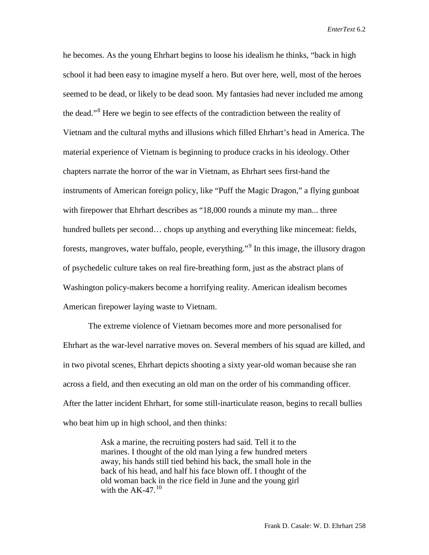he becomes. As the young Ehrhart begins to loose his idealism he thinks, "back in high school it had been easy to imagine myself a hero. But over here, well, most of the heroes seemed to be dead, or likely to be dead soon. My fantasies had never included me among the dead."[8](#page-11-5) Here we begin to see effects of the contradiction between the reality of Vietnam and the cultural myths and illusions which filled Ehrhart's head in America. The material experience of Vietnam is beginning to produce cracks in his ideology. Other chapters narrate the horror of the war in Vietnam, as Ehrhart sees first-hand the instruments of American foreign policy, like "Puff the Magic Dragon," a flying gunboat with firepower that Ehrhart describes as "18,000 rounds a minute my man... three hundred bullets per second... chops up anything and everything like mincemeat: fields, forests, mangroves, water buffalo, people, everything."[9](#page-11-6) In this image, the illusory dragon of psychedelic culture takes on real fire-breathing form, just as the abstract plans of Washington policy-makers become a horrifying reality. American idealism becomes American firepower laying waste to Vietnam.

The extreme violence of Vietnam becomes more and more personalised for Ehrhart as the war-level narrative moves on. Several members of his squad are killed, and in two pivotal scenes, Ehrhart depicts shooting a sixty year-old woman because she ran across a field, and then executing an old man on the order of his commanding officer. After the latter incident Ehrhart, for some still-inarticulate reason, begins to recall bullies who beat him up in high school, and then thinks:

> Ask a marine, the recruiting posters had said. Tell it to the marines. I thought of the old man lying a few hundred meters away, his hands still tied behind his back, the small hole in the back of his head, and half his face blown off. I thought of the old woman back in the rice field in June and the young girl with the  $AK-47$ .<sup>[10](#page-11-7)</sup>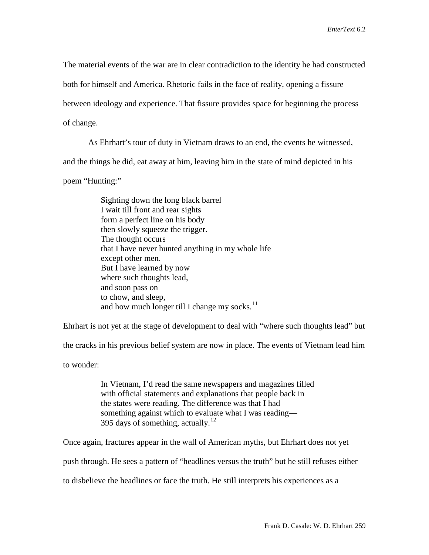The material events of the war are in clear contradiction to the identity he had constructed

both for himself and America. Rhetoric fails in the face of reality, opening a fissure

between ideology and experience. That fissure provides space for beginning the process

of change.

As Ehrhart's tour of duty in Vietnam draws to an end, the events he witnessed,

and the things he did, eat away at him, leaving him in the state of mind depicted in his

poem "Hunting:"

Sighting down the long black barrel I wait till front and rear sights form a perfect line on his body then slowly squeeze the trigger. The thought occurs that I have never hunted anything in my whole life except other men. But I have learned by now where such thoughts lead, and soon pass on to chow, and sleep, and how much longer till I change my socks.<sup>[11](#page-11-8)</sup>

Ehrhart is not yet at the stage of development to deal with "where such thoughts lead" but

the cracks in his previous belief system are now in place. The events of Vietnam lead him

to wonder:

In Vietnam, I'd read the same newspapers and magazines filled with official statements and explanations that people back in the states were reading. The difference was that I had something against which to evaluate what I was reading— 395 days of something, actually. $^{12}$  $^{12}$  $^{12}$ 

Once again, fractures appear in the wall of American myths, but Ehrhart does not yet

push through. He sees a pattern of "headlines versus the truth" but he still refuses either

to disbelieve the headlines or face the truth. He still interprets his experiences as a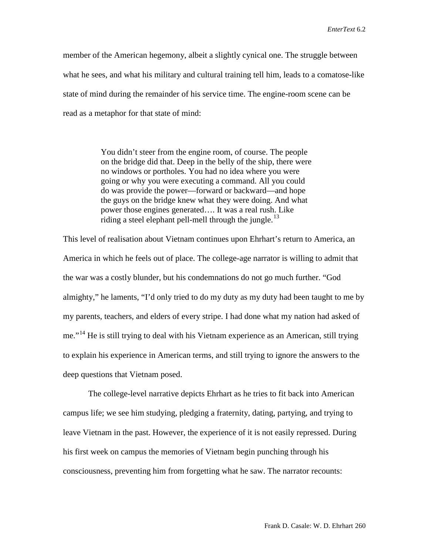member of the American hegemony, albeit a slightly cynical one. The struggle between what he sees, and what his military and cultural training tell him, leads to a comatose-like state of mind during the remainder of his service time. The engine-room scene can be read as a metaphor for that state of mind:

> You didn't steer from the engine room, of course. The people on the bridge did that. Deep in the belly of the ship, there were no windows or portholes. You had no idea where you were going or why you were executing a command. All you could do was provide the power—forward or backward—and hope the guys on the bridge knew what they were doing. And what power those engines generated…. It was a real rush. Like riding a steel elephant pell-mell through the jungle.<sup>[13](#page-11-10)</sup>

This level of realisation about Vietnam continues upon Ehrhart's return to America, an America in which he feels out of place. The college-age narrator is willing to admit that the war was a costly blunder, but his condemnations do not go much further. "God almighty," he laments, "I'd only tried to do my duty as my duty had been taught to me by my parents, teachers, and elders of every stripe. I had done what my nation had asked of me."<sup>[14](#page-11-11)</sup> He is still trying to deal with his Vietnam experience as an American, still trying to explain his experience in American terms, and still trying to ignore the answers to the deep questions that Vietnam posed.

The college-level narrative depicts Ehrhart as he tries to fit back into American campus life; we see him studying, pledging a fraternity, dating, partying, and trying to leave Vietnam in the past. However, the experience of it is not easily repressed. During his first week on campus the memories of Vietnam begin punching through his consciousness, preventing him from forgetting what he saw. The narrator recounts: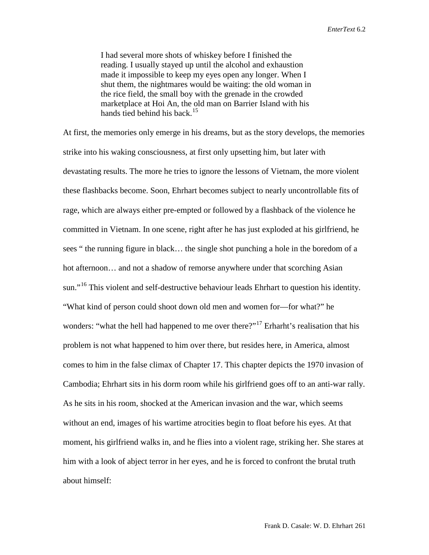I had several more shots of whiskey before I finished the reading. I usually stayed up until the alcohol and exhaustion made it impossible to keep my eyes open any longer. When I shut them, the nightmares would be waiting: the old woman in the rice field, the small boy with the grenade in the crowded marketplace at Hoi An, the old man on Barrier Island with his hands tied behind his back.<sup>[15](#page-11-12)</sup>

At first, the memories only emerge in his dreams, but as the story develops, the memories strike into his waking consciousness, at first only upsetting him, but later with devastating results. The more he tries to ignore the lessons of Vietnam, the more violent these flashbacks become. Soon, Ehrhart becomes subject to nearly uncontrollable fits of rage, which are always either pre-empted or followed by a flashback of the violence he committed in Vietnam. In one scene, right after he has just exploded at his girlfriend, he sees " the running figure in black… the single shot punching a hole in the boredom of a hot afternoon… and not a shadow of remorse anywhere under that scorching Asian sun."<sup>[16](#page-11-13)</sup> This violent and self-destructive behaviour leads Ehrhart to question his identity. "What kind of person could shoot down old men and women for—for what?" he wonders: "what the hell had happened to me over there?"<sup>[17](#page-11-14)</sup> Erharht's realisation that his problem is not what happened to him over there, but resides here, in America, almost comes to him in the false climax of Chapter 17. This chapter depicts the 1970 invasion of Cambodia; Ehrhart sits in his dorm room while his girlfriend goes off to an anti-war rally. As he sits in his room, shocked at the American invasion and the war, which seems without an end, images of his wartime atrocities begin to float before his eyes. At that moment, his girlfriend walks in, and he flies into a violent rage, striking her. She stares at him with a look of abject terror in her eyes, and he is forced to confront the brutal truth about himself: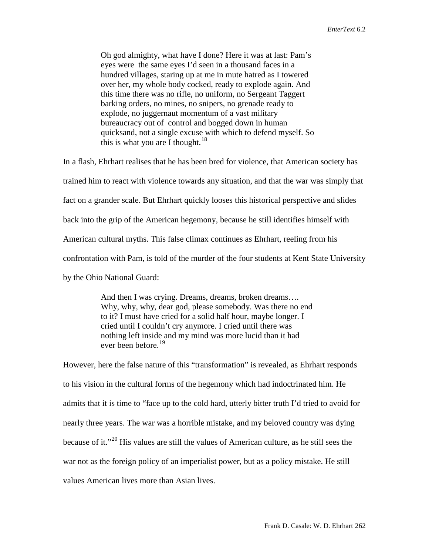Oh god almighty, what have I done? Here it was at last: Pam's eyes were the same eyes I'd seen in a thousand faces in a hundred villages, staring up at me in mute hatred as I towered over her, my whole body cocked, ready to explode again. And this time there was no rifle, no uniform, no Sergeant Taggert barking orders, no mines, no snipers, no grenade ready to explode, no juggernaut momentum of a vast military bureaucracy out of control and bogged down in human quicksand, not a single excuse with which to defend myself. So this is what you are I thought.<sup>[18](#page-11-15)</sup>

In a flash, Ehrhart realises that he has been bred for violence, that American society has trained him to react with violence towards any situation, and that the war was simply that fact on a grander scale. But Ehrhart quickly looses this historical perspective and slides back into the grip of the American hegemony, because he still identifies himself with American cultural myths. This false climax continues as Ehrhart, reeling from his confrontation with Pam, is told of the murder of the four students at Kent State University by the Ohio National Guard:

> And then I was crying. Dreams, dreams, broken dreams…. Why, why, why, dear god, please somebody. Was there no end to it? I must have cried for a solid half hour, maybe longer. I cried until I couldn't cry anymore. I cried until there was nothing left inside and my mind was more lucid than it had ever been before.[19](#page-11-16)

However, here the false nature of this "transformation" is revealed, as Ehrhart responds to his vision in the cultural forms of the hegemony which had indoctrinated him. He admits that it is time to "face up to the cold hard, utterly bitter truth I'd tried to avoid for nearly three years. The war was a horrible mistake, and my beloved country was dying because of it."[20](#page-11-17) His values are still the values of American culture, as he still sees the war not as the foreign policy of an imperialist power, but as a policy mistake. He still values American lives more than Asian lives.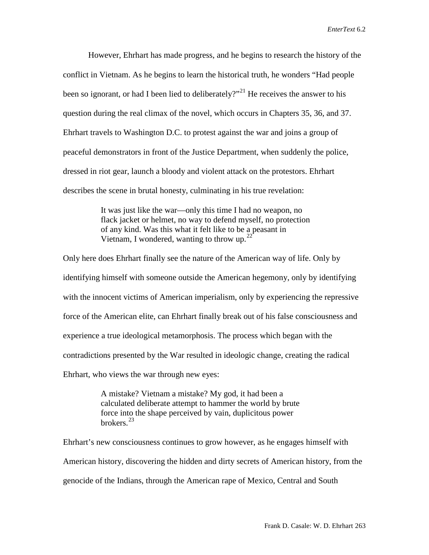However, Ehrhart has made progress, and he begins to research the history of the conflict in Vietnam. As he begins to learn the historical truth, he wonders "Had people been so ignorant, or had I been lied to deliberately?"<sup>[21](#page-11-18)</sup> He receives the answer to his question during the real climax of the novel, which occurs in Chapters 35, 36, and 37. Ehrhart travels to Washington D.C. to protest against the war and joins a group of peaceful demonstrators in front of the Justice Department, when suddenly the police, dressed in riot gear, launch a bloody and violent attack on the protestors. Ehrhart describes the scene in brutal honesty, culminating in his true revelation:

> It was just like the war—only this time I had no weapon, no flack jacket or helmet, no way to defend myself, no protection of any kind. Was this what it felt like to be a peasant in Vietnam, I wondered, wanting to throw up.  $2^2$

Only here does Ehrhart finally see the nature of the American way of life. Only by identifying himself with someone outside the American hegemony, only by identifying with the innocent victims of American imperialism, only by experiencing the repressive force of the American elite, can Ehrhart finally break out of his false consciousness and experience a true ideological metamorphosis. The process which began with the contradictions presented by the War resulted in ideologic change, creating the radical Ehrhart, who views the war through new eyes:

> A mistake? Vietnam a mistake? My god, it had been a calculated deliberate attempt to hammer the world by brute force into the shape perceived by vain, duplicitous power brokers.[23](#page-11-20)

Ehrhart's new consciousness continues to grow however, as he engages himself with American history, discovering the hidden and dirty secrets of American history, from the genocide of the Indians, through the American rape of Mexico, Central and South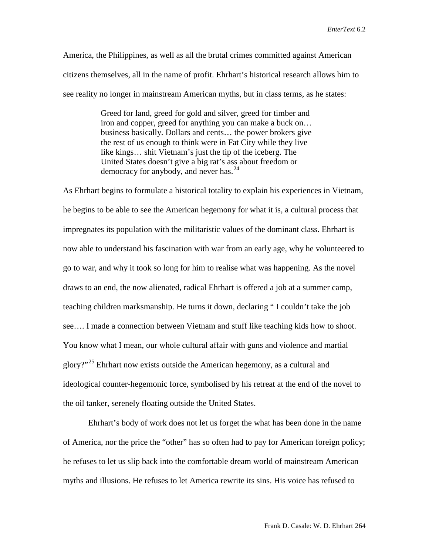America, the Philippines, as well as all the brutal crimes committed against American citizens themselves, all in the name of profit. Ehrhart's historical research allows him to see reality no longer in mainstream American myths, but in class terms, as he states:

> Greed for land, greed for gold and silver, greed for timber and iron and copper, greed for anything you can make a buck on… business basically. Dollars and cents… the power brokers give the rest of us enough to think were in Fat City while they live like kings… shit Vietnam's just the tip of the iceberg. The United States doesn't give a big rat's ass about freedom or democracy for anybody, and never has.<sup>[24](#page-11-21)</sup>

As Ehrhart begins to formulate a historical totality to explain his experiences in Vietnam, he begins to be able to see the American hegemony for what it is, a cultural process that impregnates its population with the militaristic values of the dominant class. Ehrhart is now able to understand his fascination with war from an early age, why he volunteered to go to war, and why it took so long for him to realise what was happening. As the novel draws to an end, the now alienated, radical Ehrhart is offered a job at a summer camp, teaching children marksmanship. He turns it down, declaring " I couldn't take the job see…. I made a connection between Vietnam and stuff like teaching kids how to shoot. You know what I mean, our whole cultural affair with guns and violence and martial glory?"<sup>[25](#page-11-22)</sup> Ehrhart now exists outside the American hegemony, as a cultural and ideological counter-hegemonic force, symbolised by his retreat at the end of the novel to the oil tanker, serenely floating outside the United States.

Ehrhart's body of work does not let us forget the what has been done in the name of America, nor the price the "other" has so often had to pay for American foreign policy; he refuses to let us slip back into the comfortable dream world of mainstream American myths and illusions. He refuses to let America rewrite its sins. His voice has refused to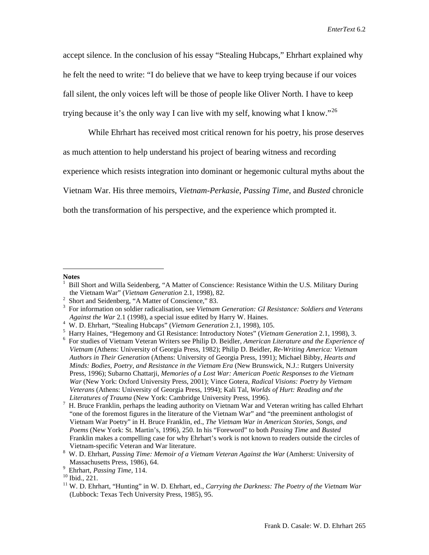accept silence. In the conclusion of his essay "Stealing Hubcaps," Ehrhart explained why he felt the need to write: "I do believe that we have to keep trying because if our voices fall silent, the only voices left will be those of people like Oliver North. I have to keep trying because it's the only way I can live with my self, knowing what I know."<sup>[26](#page-11-23)</sup>

While Ehrhart has received most critical renown for his poetry, his prose deserves as much attention to help understand his project of bearing witness and recording experience which resists integration into dominant or hegemonic cultural myths about the Vietnam War. His three memoirs, *Vietnam-Perkasie*, *Passing Time*, and *Busted* chronicle both the transformation of his perspective, and the experience which prompted it.

 $\overline{a}$ 

<span id="page-10-0"></span>**Notes**

<sup>1</sup> Bill Short and Willa Seidenberg, "A Matter of Conscience: Resistance Within the U.S. Military During the Vietnam War" (*Vietnam Generation* 2.1, 1998), 82.

<span id="page-10-1"></span> $2$  Short and Seidenberg, "A Matter of Conscience," 83.

For information on soldier radicalisation, see *Vietnam Generation: GI Resistance: Soldiers and Veterans Against the War* 2.1 (1998), a special issue edited by Harry W. Haines.<br><sup>4</sup> W. D. Ehrbert "Stooling Hubenne" (*Vietnam Generation* 2.1, 1998), 10

W. D. Ehrhart, "Stealing Hubcaps" (*Vietnam Generation* 2.1, 1998), 105. <sup>5</sup>

<sup>&</sup>lt;sup>5</sup> Harry Haines, "Hegemony and GI Resistance: Introductory Notes" (*Vietnam Generation* 2.1, 1998), 3.<br><sup>6</sup> For studies of Vietnam Veteran Writers see Philip D. Beidler, *American Literature and the Experience* 

For studies of Vietnam Veteran Writers see Philip D. Beidler, *American Literature and the Experience of Vietnam* (Athens: University of Georgia Press, 1982); Philip D. Beidler, *Re-Writing America: Vietnam Authors in Their Generation* (Athens: University of Georgia Press, 1991); Michael Bibby, *Hearts and Minds: Bodies, Poetry, and Resistance in the Vietnam Era* (New Brunswick, N.J.: Rutgers University Press, 1996); Subarno Chattarji, *Memories of a Lost War: American Poetic Responses to the Vietnam War* (New York: Oxford University Press, 2001); Vince Gotera, *Radical Visions: Poetry by Vietnam Veterans* (Athens: University of Georgia Press, 1994); Kali Tal, *Worlds of Hurt: Reading and the* 

*Literatures of Trauma* (New York: Cambridge University Press, 1996).<br><sup>7</sup> H. Bruce Franklin, perhaps the leading authority on Vietnam War and Veteran writing has called Ehrhart "one of the foremost figures in the literature of the Vietnam War" and "the preeminent anthologist of Vietnam War Poetry" in H. Bruce Franklin, ed., *The Vietnam War in American Stories, Songs, and Poems* (New York: St. Martin's, 1996), 250. In his "Foreword" to both *Passing Time* and *Busted* Franklin makes a compelling case for why Ehrhart's work is not known to readers outside the circles of Vietnam-specific Veteran and War literature. 8 W. D. Ehrhart, *Passing Time: Memoir of a Vietnam Veteran Against the War* (Amherst: University of

Massachusetts Press, 1986), 64.<br>
<sup>9</sup> Ehrhart, *Passing Time*, 114.

<sup>&</sup>lt;sup>10</sup> Ibid., 221. <sup>10</sup> Ibid., 221. <sup>11</sup> W. D. Ehrhart, ed., *Carrying the Darkness: The Poetry of the Vietnam War* (Lubbock: Texas Tech University Press, 1985), 95.